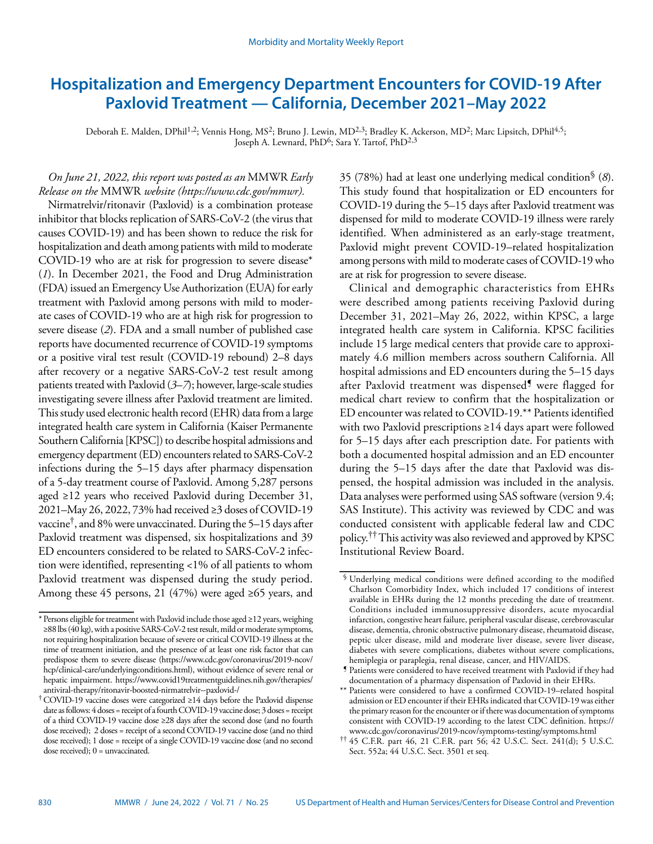# **Hospitalization and Emergency Department Encounters for COVID-19 After Paxlovid Treatment — California, December 2021–May 2022**

Deborah E. Malden, DPhil<sup>1,2</sup>; Vennis Hong, MS<sup>2</sup>; Bruno J. Lewin, MD<sup>2,3</sup>; Bradley K. Ackerson, MD<sup>2</sup>; Marc Lipsitch, DPhil<sup>4,5</sup>; Joseph A. Lewnard, PhD<sup>6</sup>; Sara Y. Tartof, PhD<sup>2,3</sup>

# *On June 21, 2022, this report was posted as an* MMWR *Early Release on the* MMWR *website [\(https://www.cdc.gov/mmwr\)](https://www.cdc.gov/mmwr).*

Nirmatrelvir/ritonavir (Paxlovid) is a combination protease inhibitor that blocks replication of SARS-CoV-2 (the virus that causes COVID-19) and has been shown to reduce the risk for hospitalization and death among patients with mild to moderate COVID-19 who are at risk for progression to severe disease\* (*1*). In December 2021, the Food and Drug Administration (FDA) issued an Emergency Use Authorization (EUA) for early treatment with Paxlovid among persons with mild to moderate cases of COVID-19 who are at high risk for progression to severe disease (*2*). FDA and a small number of published case reports have documented recurrence of COVID-19 symptoms or a positive viral test result (COVID-19 rebound) 2–8 days after recovery or a negative SARS-CoV-2 test result among patients treated with Paxlovid (*3*–*7*); however, large-scale studies investigating severe illness after Paxlovid treatment are limited. This study used electronic health record (EHR) data from a large integrated health care system in California (Kaiser Permanente Southern California [KPSC]) to describe hospital admissions and emergency department (ED) encounters related to SARS-CoV-2 infections during the 5–15 days after pharmacy dispensation of a 5-day treatment course of Paxlovid. Among 5,287 persons aged ≥12 years who received Paxlovid during December 31, 2021–May 26, 2022, 73% had received ≥3 doses of COVID-19 vaccine†, and 8% were unvaccinated. During the 5–15 days after Paxlovid treatment was dispensed, six hospitalizations and 39 ED encounters considered to be related to SARS-CoV-2 infection were identified, representing <1% of all patients to whom Paxlovid treatment was dispensed during the study period. Among these 45 persons, 21 (47%) were aged ≥65 years, and

35 (78%) had at least one underlying medical condition§ (*8*). This study found that hospitalization or ED encounters for COVID-19 during the 5–15 days after Paxlovid treatment was dispensed for mild to moderate COVID-19 illness were rarely identified. When administered as an early-stage treatment, Paxlovid might prevent COVID-19–related hospitalization among persons with mild to moderate cases of COVID-19 who are at risk for progression to severe disease.

Clinical and demographic characteristics from EHRs were described among patients receiving Paxlovid during December 31, 2021–May 26, 2022, within KPSC, a large integrated health care system in California. KPSC facilities include 15 large medical centers that provide care to approximately 4.6 million members across southern California. All hospital admissions and ED encounters during the 5–15 days after Paxlovid treatment was dispensed<sup>1</sup> were flagged for medical chart review to confirm that the hospitalization or ED encounter was related to COVID-19.\*\* Patients identified with two Paxlovid prescriptions ≥14 days apart were followed for 5–15 days after each prescription date. For patients with both a documented hospital admission and an ED encounter during the 5–15 days after the date that Paxlovid was dispensed, the hospital admission was included in the analysis. Data analyses were performed using SAS software (version 9.4; SAS Institute). This activity was reviewed by CDC and was conducted consistent with applicable federal law and CDC policy.†† This activity was also reviewed and approved by KPSC Institutional Review Board.

<sup>\*</sup>Persons eligible for treatment with Paxlovid include those aged ≥12 years, weighing ≥88 lbs (40 kg), with a positive SARS-CoV-2 test result, mild or moderate symptoms, not requiring hospitalization because of severe or critical COVID-19 illness at the time of treatment initiation, and the presence of at least one risk factor that can predispose them to severe disease [\(https://www.cdc.gov/coronavirus/2019-ncov/](https://www.cdc.gov/coronavirus/2019-ncov/hcp/clinical-care/underlyingconditions.html) [hcp/clinical-care/underlyingconditions.html](https://www.cdc.gov/coronavirus/2019-ncov/hcp/clinical-care/underlyingconditions.html)), without evidence of severe renal or hepatic impairment. [https://www.covid19treatmentguidelines.nih.gov/therapies/](https://www.covid19treatmentguidelines.nih.gov/therapies/antiviral-therapy/ritonavir-boosted-nirmatrelvir--paxlovid-/) [antiviral-therapy/ritonavir-boosted-nirmatrelvir--paxlovid-/](https://www.covid19treatmentguidelines.nih.gov/therapies/antiviral-therapy/ritonavir-boosted-nirmatrelvir--paxlovid-/)

<sup>†</sup>COVID-19 vaccine doses were categorized ≥14 days before the Paxlovid dispense date as follows: 4 doses = receipt of a fourth COVID-19 vaccine dose; 3 doses = receipt of a third COVID-19 vaccine dose ≥28 days after the second dose (and no fourth dose received); 2 doses = receipt of a second COVID-19 vaccine dose (and no third dose received); 1 dose = receipt of a single COVID-19 vaccine dose (and no second dose received); 0 = unvaccinated.

<sup>§</sup> Underlying medical conditions were defined according to the modified Charlson Comorbidity Index, which included 17 conditions of interest available in EHRs during the 12 months preceding the date of treatment. Conditions included immunosuppressive disorders, acute myocardial infarction, congestive heart failure, peripheral vascular disease, cerebrovascular disease, dementia, chronic obstructive pulmonary disease, rheumatoid disease, peptic ulcer disease, mild and moderate liver disease, severe liver disease, diabetes with severe complications, diabetes without severe complications, hemiplegia or paraplegia, renal disease, cancer, and HIV/AIDS.

<sup>¶</sup> Patients were considered to have received treatment with Paxlovid if they had documentation of a pharmacy dispensation of Paxlovid in their EHRs.

<sup>\*\*</sup> Patients were considered to have a confirmed COVID-19–related hospital admission or ED encounter if their EHRs indicated that COVID-19 was either the primary reason for the encounter or if there was documentation of symptoms consistent with COVID-19 according to the latest CDC definition. [https://](https://www.cdc.gov/coronavirus/2019-ncov/symptoms-testing/symptoms.html) [www.cdc.gov/coronavirus/2019-ncov/symptoms-testing/symptoms.html](https://www.cdc.gov/coronavirus/2019-ncov/symptoms-testing/symptoms.html)

<sup>††</sup> 45 C.F.R. part 46, 21 C.F.R. part 56; 42 U.S.C. Sect. 241(d); 5 U.S.C. Sect. 552a; 44 U.S.C. Sect. 3501 et seq.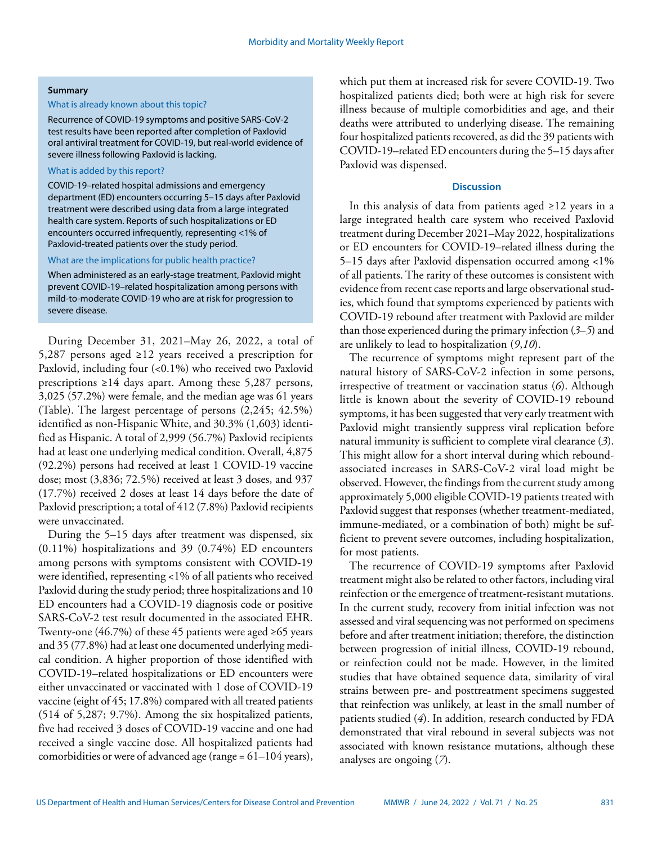#### **Summary**

#### What is already known about this topic?

Recurrence of COVID-19 symptoms and positive SARS-CoV-2 test results have been reported after completion of Paxlovid oral antiviral treatment for COVID-19, but real-world evidence of severe illness following Paxlovid is lacking.

## What is added by this report?

COVID-19–related hospital admissions and emergency department (ED) encounters occurring 5–15 days after Paxlovid treatment were described using data from a large integrated health care system. Reports of such hospitalizations or ED encounters occurred infrequently, representing <1% of Paxlovid-treated patients over the study period.

What are the implications for public health practice?

When administered as an early-stage treatment, Paxlovid might prevent COVID-19–related hospitalization among persons with mild-to-moderate COVID-19 who are at risk for progression to severe disease.

During December 31, 2021–May 26, 2022, a total of 5,287 persons aged ≥12 years received a prescription for Paxlovid, including four (<0.1%) who received two Paxlovid prescriptions ≥14 days apart. Among these 5,287 persons, 3,025 (57.2%) were female, and the median age was 61 years (Table). The largest percentage of persons (2,245; 42.5%) identified as non-Hispanic White, and 30.3% (1,603) identified as Hispanic. A total of 2,999 (56.7%) Paxlovid recipients had at least one underlying medical condition. Overall, 4,875 (92.2%) persons had received at least 1 COVID-19 vaccine dose; most (3,836; 72.5%) received at least 3 doses, and 937 (17.7%) received 2 doses at least 14 days before the date of Paxlovid prescription; a total of 412 (7.8%) Paxlovid recipients were unvaccinated.

During the 5–15 days after treatment was dispensed, six (0.11%) hospitalizations and 39 (0.74%) ED encounters among persons with symptoms consistent with COVID-19 were identified, representing <1% of all patients who received Paxlovid during the study period; three hospitalizations and 10 ED encounters had a COVID-19 diagnosis code or positive SARS-CoV-2 test result documented in the associated EHR. Twenty-one (46.7%) of these 45 patients were aged ≥65 years and 35 (77.8%) had at least one documented underlying medical condition. A higher proportion of those identified with COVID-19–related hospitalizations or ED encounters were either unvaccinated or vaccinated with 1 dose of COVID-19 vaccine (eight of 45; 17.8%) compared with all treated patients (514 of 5,287; 9.7%). Among the six hospitalized patients, five had received 3 doses of COVID-19 vaccine and one had received a single vaccine dose. All hospitalized patients had comorbidities or were of advanced age (range = 61–104 years),

which put them at increased risk for severe COVID-19. Two hospitalized patients died; both were at high risk for severe illness because of multiple comorbidities and age, and their deaths were attributed to underlying disease. The remaining four hospitalized patients recovered, as did the 39 patients with COVID-19–related ED encounters during the 5–15 days after Paxlovid was dispensed.

### **Discussion**

In this analysis of data from patients aged ≥12 years in a large integrated health care system who received Paxlovid treatment during December 2021–May 2022, hospitalizations or ED encounters for COVID-19–related illness during the 5–15 days after Paxlovid dispensation occurred among <1% of all patients. The rarity of these outcomes is consistent with evidence from recent case reports and large observational studies, which found that symptoms experienced by patients with COVID-19 rebound after treatment with Paxlovid are milder than those experienced during the primary infection (*3*–*5*) and are unlikely to lead to hospitalization (*9*,*10*).

The recurrence of symptoms might represent part of the natural history of SARS-CoV-2 infection in some persons, irrespective of treatment or vaccination status (*6*). Although little is known about the severity of COVID-19 rebound symptoms, it has been suggested that very early treatment with Paxlovid might transiently suppress viral replication before natural immunity is sufficient to complete viral clearance (*3*). This might allow for a short interval during which reboundassociated increases in SARS-CoV-2 viral load might be observed. However, the findings from the current study among approximately 5,000 eligible COVID-19 patients treated with Paxlovid suggest that responses (whether treatment-mediated, immune-mediated, or a combination of both) might be sufficient to prevent severe outcomes, including hospitalization, for most patients.

The recurrence of COVID-19 symptoms after Paxlovid treatment might also be related to other factors, including viral reinfection or the emergence of treatment-resistant mutations. In the current study, recovery from initial infection was not assessed and viral sequencing was not performed on specimens before and after treatment initiation; therefore, the distinction between progression of initial illness, COVID-19 rebound, or reinfection could not be made. However, in the limited studies that have obtained sequence data, similarity of viral strains between pre- and posttreatment specimens suggested that reinfection was unlikely, at least in the small number of patients studied (*4*). In addition, research conducted by FDA demonstrated that viral rebound in several subjects was not associated with known resistance mutations, although these analyses are ongoing (*7*).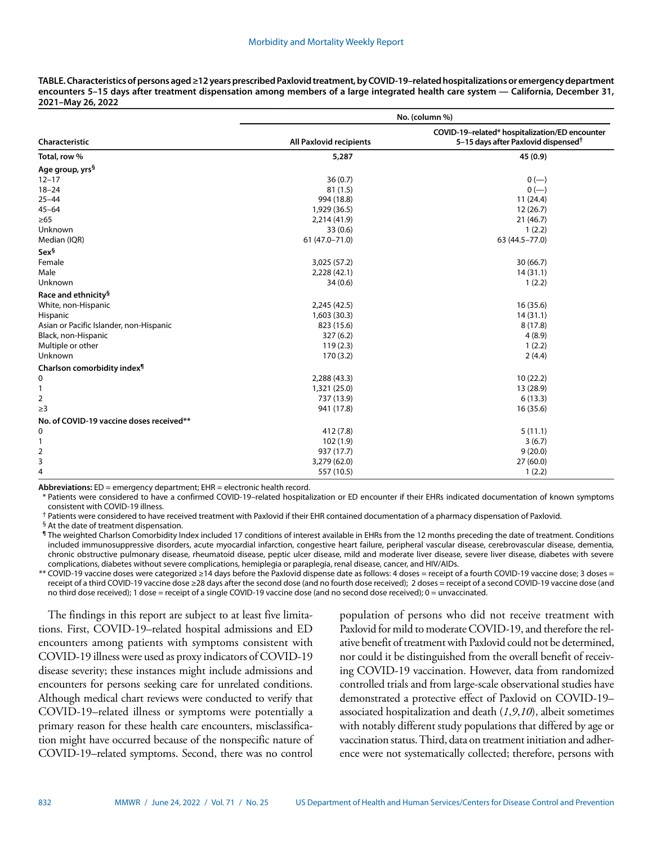| TABLE. Characteristics of persons aged ≥12 years prescribed Paxlovid treatment, by COVID-19-related hospitalizations or emergency department |
|----------------------------------------------------------------------------------------------------------------------------------------------|
| encounters 5–15 days after treatment dispensation among members of a large integrated health care system — California, December 31,          |
| 2021–May 26, 2022                                                                                                                            |

| Characteristic                           | No. (column %)          |                                                                                                   |
|------------------------------------------|-------------------------|---------------------------------------------------------------------------------------------------|
|                                          | All Paxlovid recipients | COVID-19-related* hospitalization/ED encounter<br>5-15 days after Paxlovid dispensed <sup>†</sup> |
| Total, row %                             | 5,287                   | 45 (0.9)                                                                                          |
| Age group, yrs <sup>§</sup>              |                         |                                                                                                   |
| $12 - 17$                                | 36(0.7)                 | $0 (-)$                                                                                           |
| $18 - 24$                                | 81(1.5)                 | $0 (-)$                                                                                           |
| $25 - 44$                                | 994 (18.8)              | 11(24.4)                                                                                          |
| $45 - 64$                                | 1,929 (36.5)            | 12(26.7)                                                                                          |
| $\geq 65$                                | 2,214 (41.9)            | 21(46.7)                                                                                          |
| Unknown                                  | 33(0.6)                 | 1(2.2)                                                                                            |
| Median (IQR)                             | $61(47.0 - 71.0)$       | 63 (44.5-77.0)                                                                                    |
| Sex§                                     |                         |                                                                                                   |
| Female                                   | 3,025 (57.2)            | 30(66.7)                                                                                          |
| Male                                     | 2,228 (42.1)            | 14(31.1)                                                                                          |
| Unknown                                  | 34(0.6)                 | 1(2.2)                                                                                            |
| Race and ethnicity <sup>§</sup>          |                         |                                                                                                   |
| White, non-Hispanic                      | 2,245 (42.5)            | 16(35.6)                                                                                          |
| Hispanic                                 | 1,603 (30.3)            | 14(31.1)                                                                                          |
| Asian or Pacific Islander, non-Hispanic  | 823 (15.6)              | 8(17.8)                                                                                           |
| Black, non-Hispanic                      | 327(6.2)                | 4(8.9)                                                                                            |
| Multiple or other                        | 119(2.3)                | 1(2.2)                                                                                            |
| Unknown                                  | 170(3.2)                | 2(4.4)                                                                                            |
| Charlson comorbidity index <sup>1</sup>  |                         |                                                                                                   |
| 0                                        | 2,288 (43.3)            | 10(22.2)                                                                                          |
| 1                                        | 1,321 (25.0)            | 13 (28.9)                                                                                         |
| 2                                        | 737 (13.9)              | 6(13.3)                                                                                           |
| $\geq$ 3                                 | 941 (17.8)              | 16(35.6)                                                                                          |
| No. of COVID-19 vaccine doses received** |                         |                                                                                                   |
| 0                                        | 412 (7.8)               | 5(11.1)                                                                                           |
| 1                                        | 102(1.9)                | 3(6.7)                                                                                            |
| 2                                        | 937 (17.7)              | 9(20.0)                                                                                           |
| 3                                        | 3,279 (62.0)            | 27(60.0)                                                                                          |
| 4                                        | 557 (10.5)              | 1(2.2)                                                                                            |

**Abbreviations:** ED = emergency department; EHR = electronic health record.

\* Patients were considered to have a confirmed COVID-19–related hospitalization or ED encounter if their EHRs indicated documentation of known symptoms consistent with COVID-19 illness.

† Patients were considered to have received treatment with Paxlovid if their EHR contained documentation of a pharmacy dispensation of Paxlovid.

§ At the date of treatment dispensation.

¶ The weighted Charlson Comorbidity Index included 17 conditions of interest available in EHRs from the 12 months preceding the date of treatment. Conditions included immunosuppressive disorders, acute myocardial infarction, congestive heart failure, peripheral vascular disease, cerebrovascular disease, dementia, chronic obstructive pulmonary disease, rheumatoid disease, peptic ulcer disease, mild and moderate liver disease, severe liver disease, diabetes with severe complications, diabetes without severe complications, hemiplegia or paraplegia, renal disease, cancer, and HIV/AIDs.

\*\* COVID-19 vaccine doses were categorized ≥14 days before the Paxlovid dispense date as follows: 4 doses = receipt of a fourth COVID-19 vaccine dose; 3 doses = receipt of a third COVID-19 vaccine dose ≥28 days after the second dose (and no fourth dose received); 2 doses = receipt of a second COVID-19 vaccine dose (and no third dose received); 1 dose = receipt of a single COVID-19 vaccine dose (and no second dose received); 0 = unvaccinated.

The findings in this report are subject to at least five limitations. First, COVID-19–related hospital admissions and ED encounters among patients with symptoms consistent with COVID-19 illness were used as proxy indicators of COVID-19 disease severity; these instances might include admissions and encounters for persons seeking care for unrelated conditions. Although medical chart reviews were conducted to verify that COVID-19–related illness or symptoms were potentially a primary reason for these health care encounters, misclassification might have occurred because of the nonspecific nature of COVID-19–related symptoms. Second, there was no control

population of persons who did not receive treatment with Paxlovid for mild to moderate COVID-19, and therefore the relative benefit of treatment with Paxlovid could not be determined, nor could it be distinguished from the overall benefit of receiving COVID-19 vaccination. However, data from randomized controlled trials and from large-scale observational studies have demonstrated a protective effect of Paxlovid on COVID-19– associated hospitalization and death (*1*,*9*,*10*), albeit sometimes with notably different study populations that differed by age or vaccination status. Third, data on treatment initiation and adherence were not systematically collected; therefore, persons with